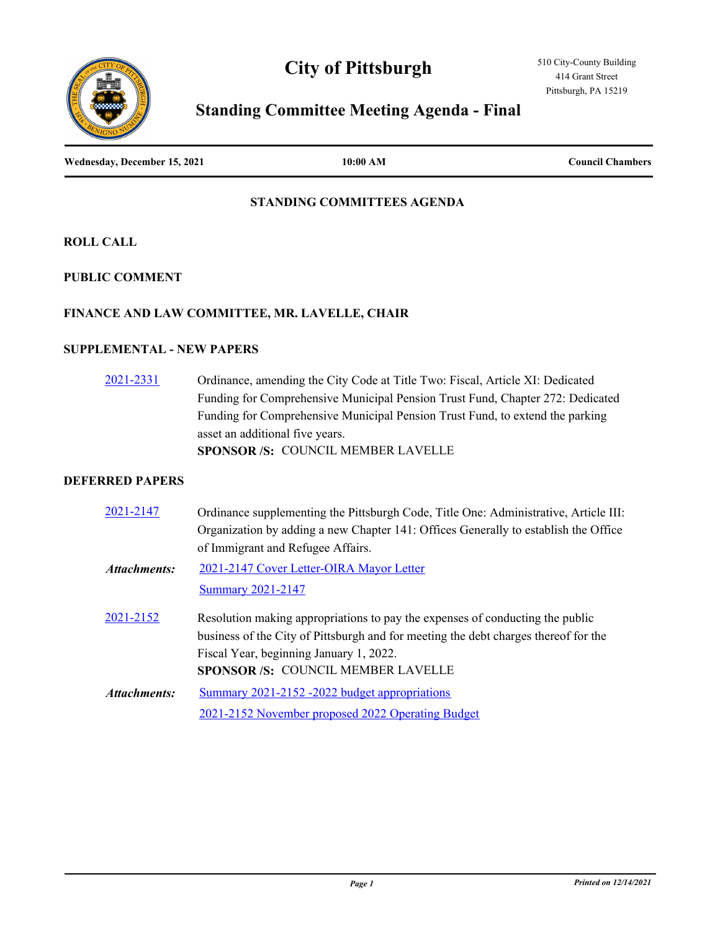# **City of Pittsburgh**





# **Standing Committee Meeting Agenda - Final**

**Wednesday, December 15, 2021 10:00 AM Council Chambers**

### **STANDING COMMITTEES AGENDA**

**ROLL CALL**

**PUBLIC COMMENT**

### **FINANCE AND LAW COMMITTEE, MR. LAVELLE, CHAIR**

## **SUPPLEMENTAL - NEW PAPERS**

[2021-2331](http://pittsburgh.legistar.com/gateway.aspx?m=l&id=/matter.aspx?key=27234) Ordinance, amending the City Code at Title Two: Fiscal, Article XI: Dedicated Funding for Comprehensive Municipal Pension Trust Fund, Chapter 272: Dedicated Funding for Comprehensive Municipal Pension Trust Fund, to extend the parking asset an additional five years. **SPONSOR /S:** COUNCIL MEMBER LAVELLE

## **DEFERRED PAPERS**

| 2021-2147    | Ordinance supplementing the Pittsburgh Code, Title One: Administrative, Article III: |
|--------------|--------------------------------------------------------------------------------------|
|              | Organization by adding a new Chapter 141: Offices Generally to establish the Office  |
|              | of Immigrant and Refugee Affairs.                                                    |
| Attachments: | 2021-2147 Cover Letter-OIRA Mayor Letter                                             |
|              | <b>Summary 2021-2147</b>                                                             |
| 2021-2152    | Resolution making appropriations to pay the expenses of conducting the public        |
|              | business of the City of Pittsburgh and for meeting the debt charges thereof for the  |
|              | Fiscal Year, beginning January 1, 2022.                                              |
|              | <b>SPONSOR/S: COUNCIL MEMBER LAVELLE</b>                                             |
| Attachments: | Summary 2021-2152 -2022 budget appropriations                                        |
|              | 2021-2152 November proposed 2022 Operating Budget                                    |
|              |                                                                                      |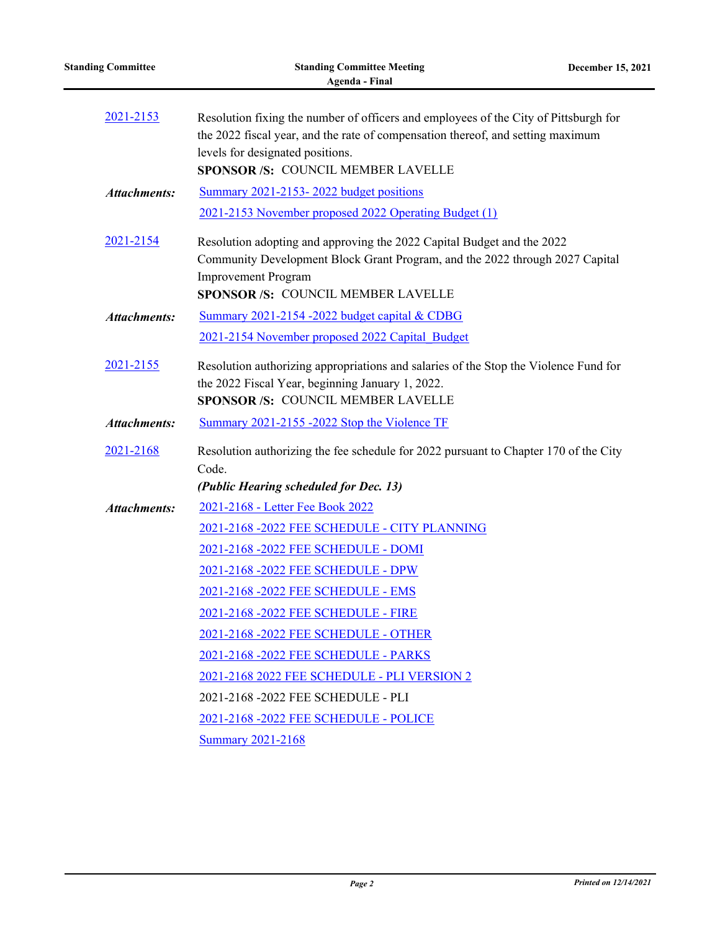| <b>Standing Committee</b> | <b>Standing Committee Meeting</b><br><b>Agenda - Final</b>                                                                                                                                                                                        | December 15, 2021 |
|---------------------------|---------------------------------------------------------------------------------------------------------------------------------------------------------------------------------------------------------------------------------------------------|-------------------|
| 2021-2153                 | Resolution fixing the number of officers and employees of the City of Pittsburgh for<br>the 2022 fiscal year, and the rate of compensation thereof, and setting maximum<br>levels for designated positions.<br>SPONSOR /S: COUNCIL MEMBER LAVELLE |                   |
| <b>Attachments:</b>       | Summary 2021-2153-2022 budget positions<br>2021-2153 November proposed 2022 Operating Budget (1)                                                                                                                                                  |                   |
| 2021-2154                 | Resolution adopting and approving the 2022 Capital Budget and the 2022<br>Community Development Block Grant Program, and the 2022 through 2027 Capital<br><b>Improvement Program</b><br>SPONSOR /S: COUNCIL MEMBER LAVELLE                        |                   |
| <b>Attachments:</b>       | Summary 2021-2154 -2022 budget capital & CDBG                                                                                                                                                                                                     |                   |
|                           | 2021-2154 November proposed 2022 Capital Budget                                                                                                                                                                                                   |                   |
| 2021-2155                 | Resolution authorizing appropriations and salaries of the Stop the Violence Fund for<br>the 2022 Fiscal Year, beginning January 1, 2022.<br>SPONSOR /S: COUNCIL MEMBER LAVELLE                                                                    |                   |
| <b>Attachments:</b>       | Summary 2021-2155 -2022 Stop the Violence TF                                                                                                                                                                                                      |                   |
| 2021-2168                 | Resolution authorizing the fee schedule for 2022 pursuant to Chapter 170 of the City<br>Code.                                                                                                                                                     |                   |
|                           | (Public Hearing scheduled for Dec. 13)                                                                                                                                                                                                            |                   |
| <b>Attachments:</b>       | 2021-2168 - Letter Fee Book 2022<br>2021-2168 -2022 FEE SCHEDULE - CITY PLANNING                                                                                                                                                                  |                   |
|                           | 2021-2168 -2022 FEE SCHEDULE - DOMI                                                                                                                                                                                                               |                   |
|                           | 2021-2168 -2022 FEE SCHEDULE - DPW                                                                                                                                                                                                                |                   |
|                           | 2021-2168 -2022 FEE SCHEDULE - EMS                                                                                                                                                                                                                |                   |
|                           | 2021-2168 -2022 FEE SCHEDULE - FIRE                                                                                                                                                                                                               |                   |
|                           | 2021-2168 -2022 FEE SCHEDULE - OTHER                                                                                                                                                                                                              |                   |
|                           | 2021-2168 -2022 FEE SCHEDULE - PARKS                                                                                                                                                                                                              |                   |
|                           | 2021-2168 2022 FEE SCHEDULE - PLI VERSION 2                                                                                                                                                                                                       |                   |
|                           | 2021-2168 -2022 FEE SCHEDULE - PLI                                                                                                                                                                                                                |                   |
|                           | 2021-2168 -2022 FEE SCHEDULE - POLICE                                                                                                                                                                                                             |                   |
|                           | <b>Summary 2021-2168</b>                                                                                                                                                                                                                          |                   |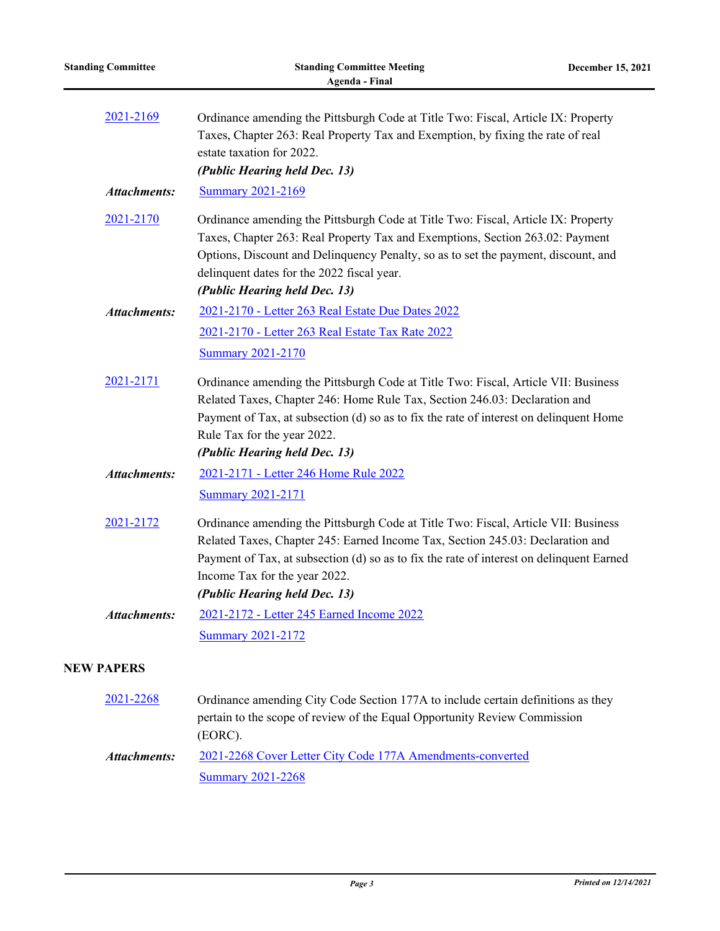| <b>Standing Committee</b> | <b>Standing Committee Meeting</b><br>Agenda - Final                                                                                                                                                                                                                                                                                     | December 15, 2021 |
|---------------------------|-----------------------------------------------------------------------------------------------------------------------------------------------------------------------------------------------------------------------------------------------------------------------------------------------------------------------------------------|-------------------|
| 2021-2169                 | Ordinance amending the Pittsburgh Code at Title Two: Fiscal, Article IX: Property<br>Taxes, Chapter 263: Real Property Tax and Exemption, by fixing the rate of real<br>estate taxation for 2022.<br>(Public Hearing held Dec. 13)                                                                                                      |                   |
| Attachments:              | <b>Summary 2021-2169</b>                                                                                                                                                                                                                                                                                                                |                   |
| 2021-2170                 | Ordinance amending the Pittsburgh Code at Title Two: Fiscal, Article IX: Property<br>Taxes, Chapter 263: Real Property Tax and Exemptions, Section 263.02: Payment<br>Options, Discount and Delinquency Penalty, so as to set the payment, discount, and<br>delinquent dates for the 2022 fiscal year.<br>(Public Hearing held Dec. 13) |                   |
| <b>Attachments:</b>       | 2021-2170 - Letter 263 Real Estate Due Dates 2022                                                                                                                                                                                                                                                                                       |                   |
|                           | 2021-2170 - Letter 263 Real Estate Tax Rate 2022                                                                                                                                                                                                                                                                                        |                   |
|                           | <b>Summary 2021-2170</b>                                                                                                                                                                                                                                                                                                                |                   |
| 2021-2171                 | Ordinance amending the Pittsburgh Code at Title Two: Fiscal, Article VII: Business<br>Related Taxes, Chapter 246: Home Rule Tax, Section 246.03: Declaration and<br>Payment of Tax, at subsection (d) so as to fix the rate of interest on delinquent Home<br>Rule Tax for the year 2022.<br>(Public Hearing held Dec. 13)              |                   |
| <b>Attachments:</b>       | 2021-2171 - Letter 246 Home Rule 2022                                                                                                                                                                                                                                                                                                   |                   |
|                           | <b>Summary 2021-2171</b>                                                                                                                                                                                                                                                                                                                |                   |
| 2021-2172                 | Ordinance amending the Pittsburgh Code at Title Two: Fiscal, Article VII: Business<br>Related Taxes, Chapter 245: Earned Income Tax, Section 245.03: Declaration and<br>Payment of Tax, at subsection (d) so as to fix the rate of interest on delinquent Earned<br>Income Tax for the year 2022.                                       |                   |
|                           | (Public Hearing held Dec. 13)                                                                                                                                                                                                                                                                                                           |                   |
| <b>Attachments:</b>       | 2021-2172 - Letter 245 Earned Income 2022                                                                                                                                                                                                                                                                                               |                   |
|                           | <b>Summary 2021-2172</b>                                                                                                                                                                                                                                                                                                                |                   |
| <b>NEW PAPERS</b>         |                                                                                                                                                                                                                                                                                                                                         |                   |

| 2021-2268    | Ordinance amending City Code Section 177A to include certain definitions as they |  |  |
|--------------|----------------------------------------------------------------------------------|--|--|
|              | pertain to the scope of review of the Equal Opportunity Review Commission        |  |  |
|              | (EORC).                                                                          |  |  |
| Attachments: | 2021-2268 Cover Letter City Code 177A Amendments-converted                       |  |  |
|              | <b>Summary 2021-2268</b>                                                         |  |  |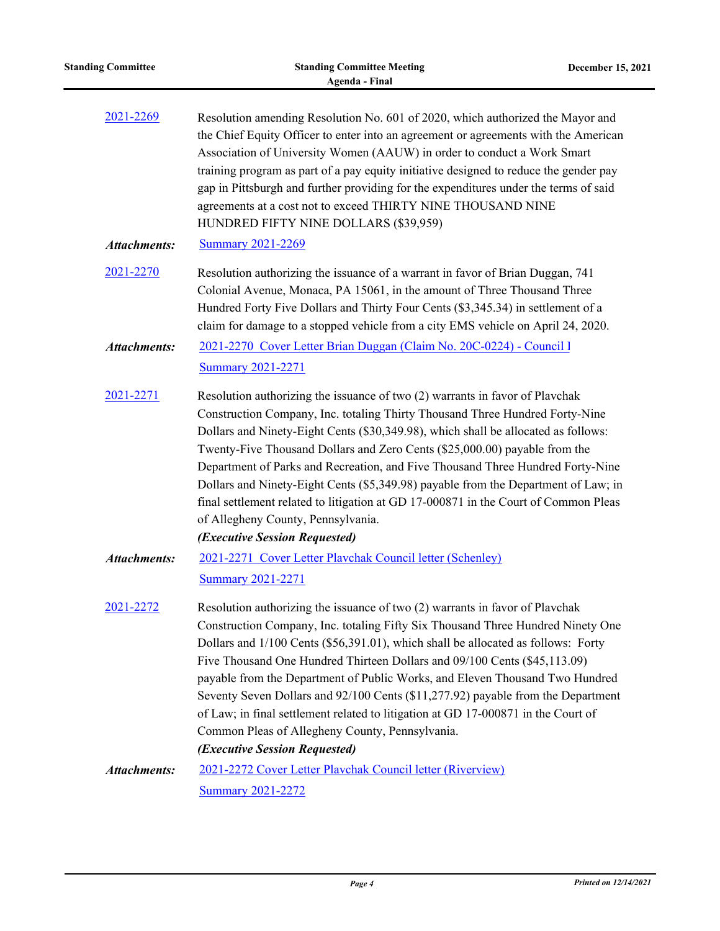| <b>Standing Committee</b> | <b>Standing Committee Meeting</b><br><b>Agenda - Final</b>                                                                                                                                                                                                                                                                                                                                                                                                                                                                                                                                                                                                                     | December 15, 2021 |
|---------------------------|--------------------------------------------------------------------------------------------------------------------------------------------------------------------------------------------------------------------------------------------------------------------------------------------------------------------------------------------------------------------------------------------------------------------------------------------------------------------------------------------------------------------------------------------------------------------------------------------------------------------------------------------------------------------------------|-------------------|
| 2021-2269                 | Resolution amending Resolution No. 601 of 2020, which authorized the Mayor and<br>the Chief Equity Officer to enter into an agreement or agreements with the American<br>Association of University Women (AAUW) in order to conduct a Work Smart<br>training program as part of a pay equity initiative designed to reduce the gender pay<br>gap in Pittsburgh and further providing for the expenditures under the terms of said<br>agreements at a cost not to exceed THIRTY NINE THOUSAND NINE<br>HUNDRED FIFTY NINE DOLLARS (\$39,959)                                                                                                                                     |                   |
| <b>Attachments:</b>       | <b>Summary 2021-2269</b>                                                                                                                                                                                                                                                                                                                                                                                                                                                                                                                                                                                                                                                       |                   |
| 2021-2270                 | Resolution authorizing the issuance of a warrant in favor of Brian Duggan, 741<br>Colonial Avenue, Monaca, PA 15061, in the amount of Three Thousand Three<br>Hundred Forty Five Dollars and Thirty Four Cents (\$3,345.34) in settlement of a<br>claim for damage to a stopped vehicle from a city EMS vehicle on April 24, 2020.                                                                                                                                                                                                                                                                                                                                             |                   |
| <b>Attachments:</b>       | 2021-2270 Cover Letter Brian Duggan (Claim No. 20C-0224) - Council 1<br><b>Summary 2021-2271</b>                                                                                                                                                                                                                                                                                                                                                                                                                                                                                                                                                                               |                   |
| 2021-2271                 | Resolution authorizing the issuance of two (2) warrants in favor of Plavchak<br>Construction Company, Inc. totaling Thirty Thousand Three Hundred Forty-Nine<br>Dollars and Ninety-Eight Cents (\$30,349.98), which shall be allocated as follows:<br>Twenty-Five Thousand Dollars and Zero Cents (\$25,000.00) payable from the<br>Department of Parks and Recreation, and Five Thousand Three Hundred Forty-Nine<br>Dollars and Ninety-Eight Cents (\$5,349.98) payable from the Department of Law; in<br>final settlement related to litigation at GD 17-000871 in the Court of Common Pleas<br>of Allegheny County, Pennsylvania.<br>(Executive Session Requested)         |                   |
| <b>Attachments:</b>       | 2021-2271 Cover Letter Playchak Council letter (Schenley)<br><b>Summary 2021-2271</b>                                                                                                                                                                                                                                                                                                                                                                                                                                                                                                                                                                                          |                   |
| 2021-2272                 | Resolution authorizing the issuance of two (2) warrants in favor of Plavchak<br>Construction Company, Inc. totaling Fifty Six Thousand Three Hundred Ninety One<br>Dollars and 1/100 Cents (\$56,391.01), which shall be allocated as follows: Forty<br>Five Thousand One Hundred Thirteen Dollars and 09/100 Cents (\$45,113.09)<br>payable from the Department of Public Works, and Eleven Thousand Two Hundred<br>Seventy Seven Dollars and 92/100 Cents (\$11,277.92) payable from the Department<br>of Law; in final settlement related to litigation at GD 17-000871 in the Court of<br>Common Pleas of Allegheny County, Pennsylvania.<br>(Executive Session Requested) |                   |
| <b>Attachments:</b>       | 2021-2272 Cover Letter Playchak Council letter (Riverview)                                                                                                                                                                                                                                                                                                                                                                                                                                                                                                                                                                                                                     |                   |
|                           | <b>Summary 2021-2272</b>                                                                                                                                                                                                                                                                                                                                                                                                                                                                                                                                                                                                                                                       |                   |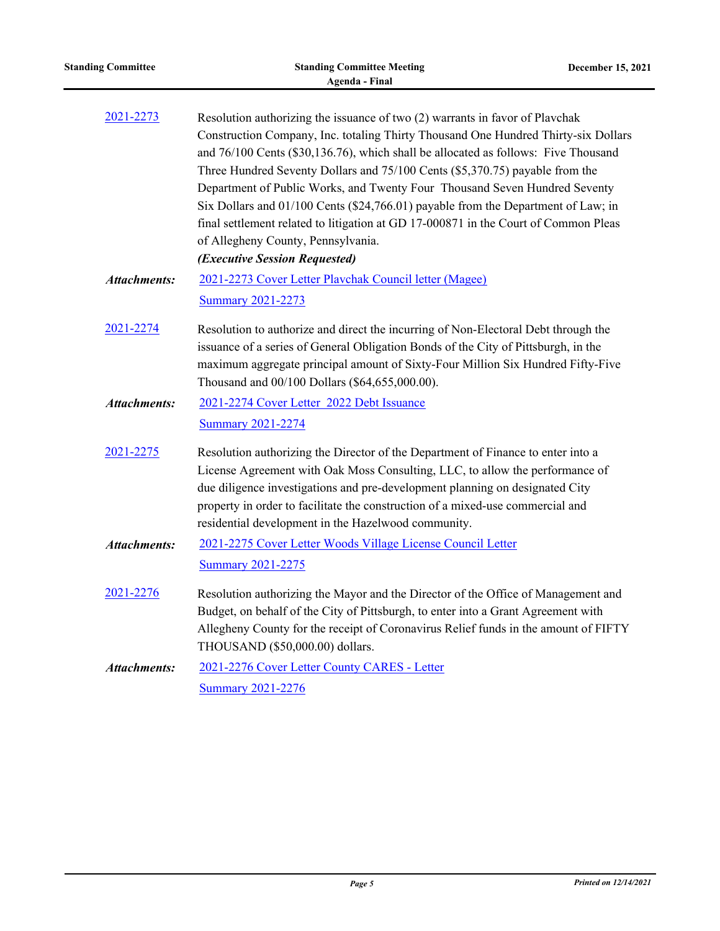| <b>Standing Committee</b> | <b>Standing Committee Meeting</b><br><b>Agenda - Final</b>                                                                                                                                                                                                                                                                                                                                                                                                                                                                                                                                                                                                                | December 15, 2021 |
|---------------------------|---------------------------------------------------------------------------------------------------------------------------------------------------------------------------------------------------------------------------------------------------------------------------------------------------------------------------------------------------------------------------------------------------------------------------------------------------------------------------------------------------------------------------------------------------------------------------------------------------------------------------------------------------------------------------|-------------------|
| 2021-2273                 | Resolution authorizing the issuance of two (2) warrants in favor of Plavchak<br>Construction Company, Inc. totaling Thirty Thousand One Hundred Thirty-six Dollars<br>and 76/100 Cents (\$30,136.76), which shall be allocated as follows: Five Thousand<br>Three Hundred Seventy Dollars and 75/100 Cents (\$5,370.75) payable from the<br>Department of Public Works, and Twenty Four Thousand Seven Hundred Seventy<br>Six Dollars and 01/100 Cents (\$24,766.01) payable from the Department of Law; in<br>final settlement related to litigation at GD 17-000871 in the Court of Common Pleas<br>of Allegheny County, Pennsylvania.<br>(Executive Session Requested) |                   |
| <b>Attachments:</b>       | 2021-2273 Cover Letter Plavchak Council letter (Magee)<br><b>Summary 2021-2273</b>                                                                                                                                                                                                                                                                                                                                                                                                                                                                                                                                                                                        |                   |
| 2021-2274                 | Resolution to authorize and direct the incurring of Non-Electoral Debt through the<br>issuance of a series of General Obligation Bonds of the City of Pittsburgh, in the<br>maximum aggregate principal amount of Sixty-Four Million Six Hundred Fifty-Five<br>Thousand and 00/100 Dollars (\$64,655,000.00).                                                                                                                                                                                                                                                                                                                                                             |                   |
| <b>Attachments:</b>       | 2021-2274 Cover Letter 2022 Debt Issuance<br><b>Summary 2021-2274</b>                                                                                                                                                                                                                                                                                                                                                                                                                                                                                                                                                                                                     |                   |
| 2021-2275                 | Resolution authorizing the Director of the Department of Finance to enter into a<br>License Agreement with Oak Moss Consulting, LLC, to allow the performance of<br>due diligence investigations and pre-development planning on designated City<br>property in order to facilitate the construction of a mixed-use commercial and<br>residential development in the Hazelwood community.                                                                                                                                                                                                                                                                                 |                   |
| <b>Attachments:</b>       | 2021-2275 Cover Letter Woods Village License Council Letter<br><b>Summary 2021-2275</b>                                                                                                                                                                                                                                                                                                                                                                                                                                                                                                                                                                                   |                   |
| 2021-2276                 | Resolution authorizing the Mayor and the Director of the Office of Management and<br>Budget, on behalf of the City of Pittsburgh, to enter into a Grant Agreement with<br>Allegheny County for the receipt of Coronavirus Relief funds in the amount of FIFTY<br>THOUSAND (\$50,000.00) dollars.                                                                                                                                                                                                                                                                                                                                                                          |                   |
| <b>Attachments:</b>       | 2021-2276 Cover Letter County CARES - Letter<br><b>Summary 2021-2276</b>                                                                                                                                                                                                                                                                                                                                                                                                                                                                                                                                                                                                  |                   |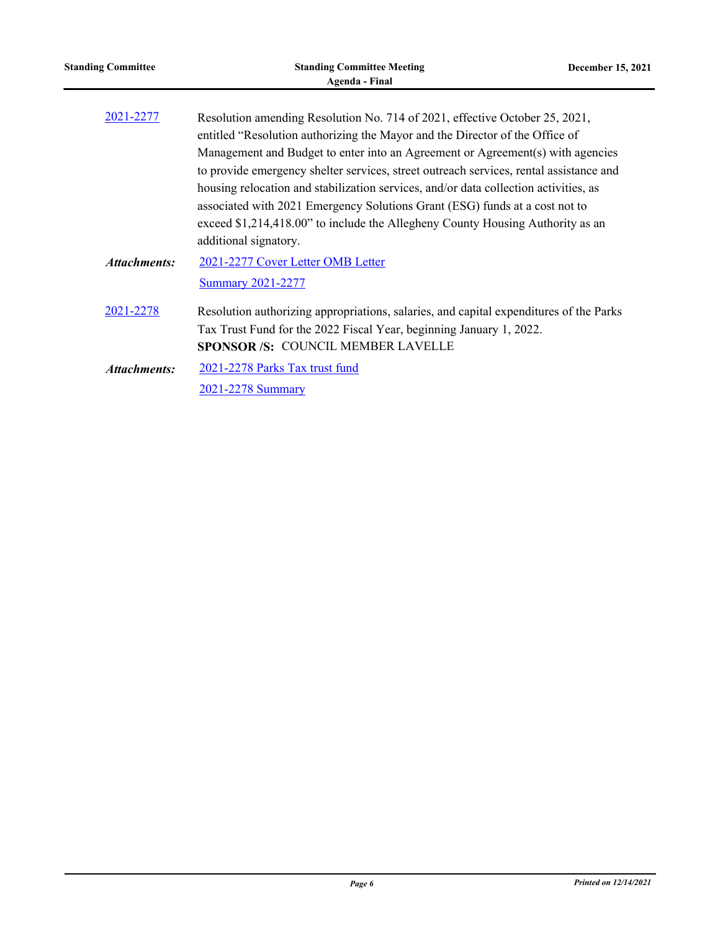| <b>Standing Committee</b> | <b>Standing Committee Meeting</b><br><b>Agenda - Final</b>                                                                                                                                                                                                                                                                                                                                                                                                                                                                                                                                                                | December 15, 2021 |
|---------------------------|---------------------------------------------------------------------------------------------------------------------------------------------------------------------------------------------------------------------------------------------------------------------------------------------------------------------------------------------------------------------------------------------------------------------------------------------------------------------------------------------------------------------------------------------------------------------------------------------------------------------------|-------------------|
| 2021-2277                 | Resolution amending Resolution No. 714 of 2021, effective October 25, 2021,<br>entitled "Resolution authorizing the Mayor and the Director of the Office of<br>Management and Budget to enter into an Agreement or Agreement(s) with agencies<br>to provide emergency shelter services, street outreach services, rental assistance and<br>housing relocation and stabilization services, and/or data collection activities, as<br>associated with 2021 Emergency Solutions Grant (ESG) funds at a cost not to<br>exceed \$1,214,418.00" to include the Allegheny County Housing Authority as an<br>additional signatory. |                   |
| <b>Attachments:</b>       | 2021-2277 Cover Letter OMB Letter<br><b>Summary 2021-2277</b>                                                                                                                                                                                                                                                                                                                                                                                                                                                                                                                                                             |                   |
| 2021-2278                 | Resolution authorizing appropriations, salaries, and capital expenditures of the Parks<br>Tax Trust Fund for the 2022 Fiscal Year, beginning January 1, 2022.<br><b>SPONSOR/S: COUNCIL MEMBER LAVELLE</b>                                                                                                                                                                                                                                                                                                                                                                                                                 |                   |
| <b>Attachments:</b>       | 2021-2278 Parks Tax trust fund<br>2021-2278 Summary                                                                                                                                                                                                                                                                                                                                                                                                                                                                                                                                                                       |                   |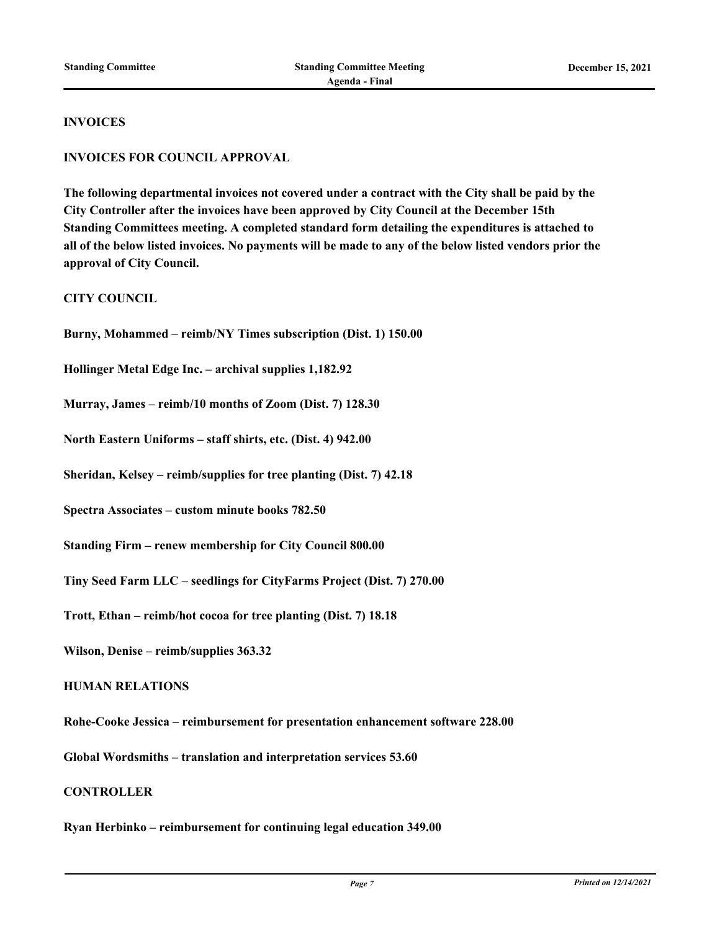#### **INVOICES**

### **INVOICES FOR COUNCIL APPROVAL**

**The following departmental invoices not covered under a contract with the City shall be paid by the City Controller after the invoices have been approved by City Council at the December 15th Standing Committees meeting. A completed standard form detailing the expenditures is attached to all of the below listed invoices. No payments will be made to any of the below listed vendors prior the approval of City Council.**

### **CITY COUNCIL**

**Burny, Mohammed – reimb/NY Times subscription (Dist. 1) 150.00**

**Hollinger Metal Edge Inc. – archival supplies 1,182.92**

**Murray, James – reimb/10 months of Zoom (Dist. 7) 128.30**

**North Eastern Uniforms – staff shirts, etc. (Dist. 4) 942.00**

**Sheridan, Kelsey – reimb/supplies for tree planting (Dist. 7) 42.18**

**Spectra Associates – custom minute books 782.50**

**Standing Firm – renew membership for City Council 800.00**

**Tiny Seed Farm LLC – seedlings for CityFarms Project (Dist. 7) 270.00**

**Trott, Ethan – reimb/hot cocoa for tree planting (Dist. 7) 18.18**

**Wilson, Denise – reimb/supplies 363.32**

#### **HUMAN RELATIONS**

**Rohe-Cooke Jessica – reimbursement for presentation enhancement software 228.00**

**Global Wordsmiths – translation and interpretation services 53.60**

#### **CONTROLLER**

**Ryan Herbinko – reimbursement for continuing legal education 349.00**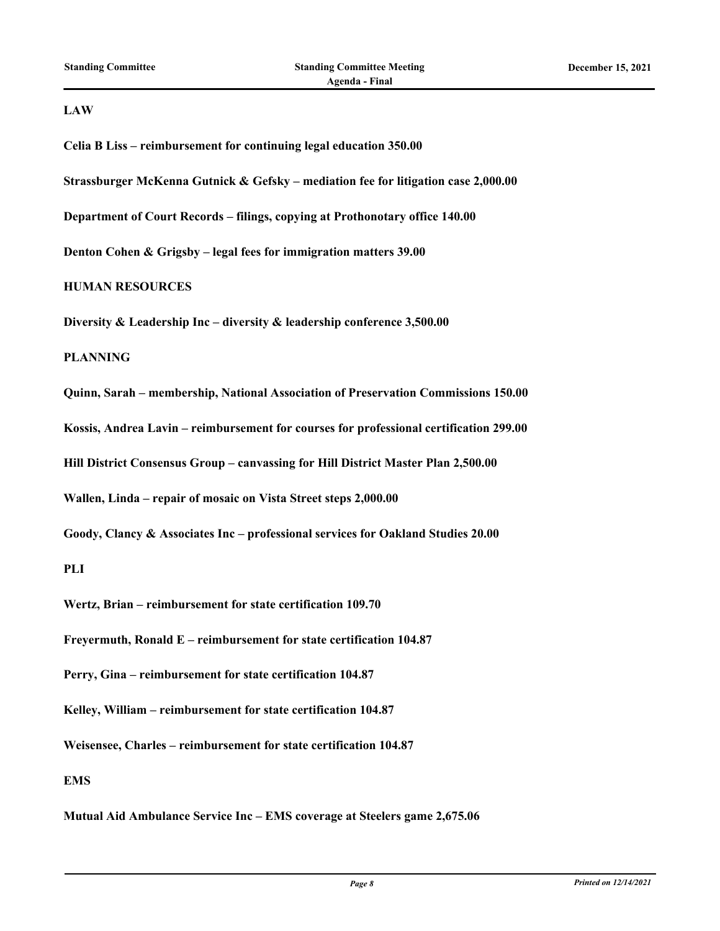## **LAW**

| Celia B Liss - reimbursement for continuing legal education 350.00                     |
|----------------------------------------------------------------------------------------|
| Strassburger McKenna Gutnick & Gefsky - mediation fee for litigation case 2,000.00     |
| Department of Court Records - filings, copying at Prothonotary office 140.00           |
| Denton Cohen & Grigsby - legal fees for immigration matters 39.00                      |
| <b>HUMAN RESOURCES</b>                                                                 |
| Diversity & Leadership Inc - diversity & leadership conference 3,500.00                |
| <b>PLANNING</b>                                                                        |
| Quinn, Sarah - membership, National Association of Preservation Commissions 150.00     |
| Kossis, Andrea Lavin – reimbursement for courses for professional certification 299.00 |
| Hill District Consensus Group - canvassing for Hill District Master Plan 2,500.00      |
| Wallen, Linda - repair of mosaic on Vista Street steps 2,000.00                        |
| Goody, Clancy & Associates Inc – professional services for Oakland Studies 20.00       |
| PLI                                                                                    |
| Wertz, Brian - reimbursement for state certification 109.70                            |
| Freyermuth, Ronald E - reimbursement for state certification 104.87                    |
| Perry, Gina - reimbursement for state certification 104.87                             |
| Kelley, William - reimbursement for state certification 104.87                         |
| Weisensee, Charles - reimbursement for state certification 104.87                      |
| <b>EMS</b>                                                                             |
| Mutual Aid Ambulance Service Inc - EMS coverage at Steelers game 2,675.06              |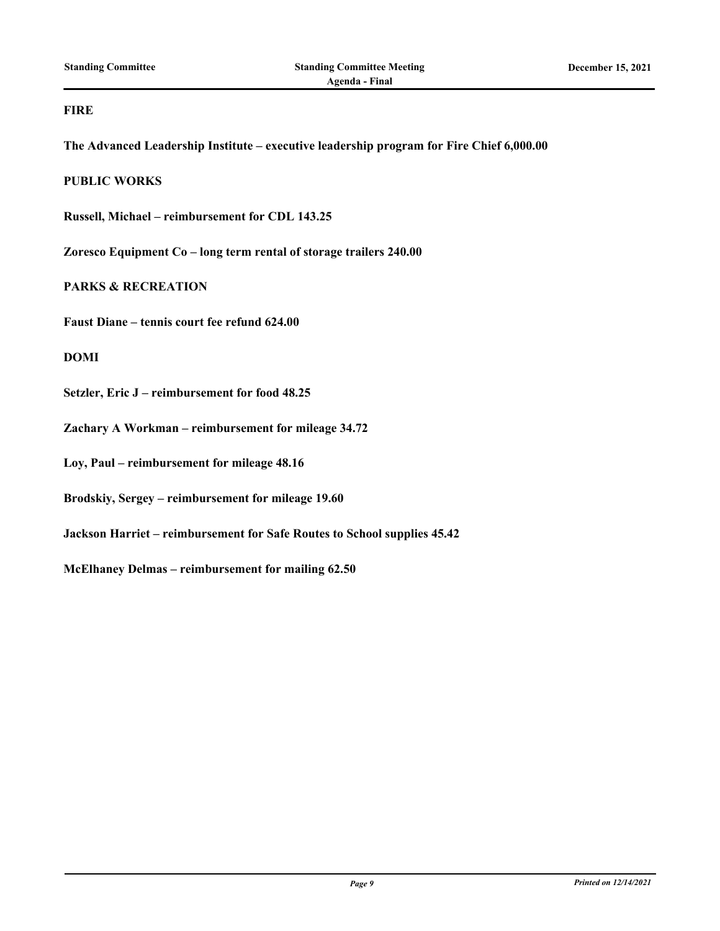## **FIRE**

**The Advanced Leadership Institute – executive leadership program for Fire Chief 6,000.00**

**PUBLIC WORKS**

**Russell, Michael – reimbursement for CDL 143.25**

**Zoresco Equipment Co – long term rental of storage trailers 240.00**

**PARKS & RECREATION**

**Faust Diane – tennis court fee refund 624.00**

**DOMI**

**Setzler, Eric J – reimbursement for food 48.25**

**Zachary A Workman – reimbursement for mileage 34.72**

**Loy, Paul – reimbursement for mileage 48.16**

**Brodskiy, Sergey – reimbursement for mileage 19.60**

**Jackson Harriet – reimbursement for Safe Routes to School supplies 45.42**

**McElhaney Delmas – reimbursement for mailing 62.50**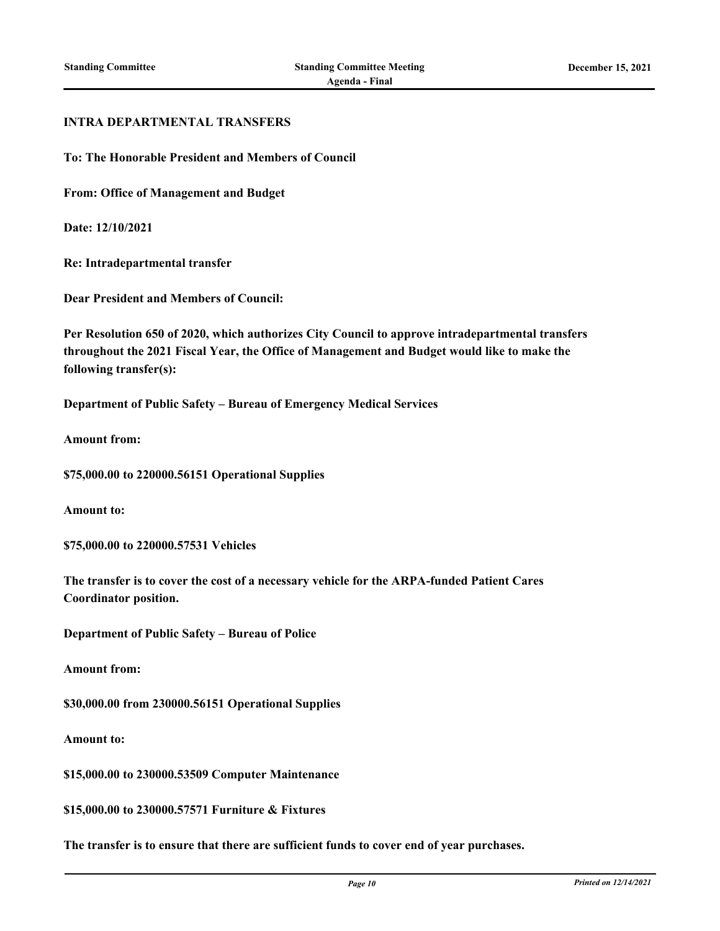### **INTRA DEPARTMENTAL TRANSFERS**

**To: The Honorable President and Members of Council**

**From: Office of Management and Budget**

**Date: 12/10/2021**

**Re: Intradepartmental transfer**

**Dear President and Members of Council:**

**Per Resolution 650 of 2020, which authorizes City Council to approve intradepartmental transfers throughout the 2021 Fiscal Year, the Office of Management and Budget would like to make the following transfer(s):**

**Department of Public Safety – Bureau of Emergency Medical Services**

**Amount from:**

**\$75,000.00 to 220000.56151 Operational Supplies**

**Amount to:**

**\$75,000.00 to 220000.57531 Vehicles**

**The transfer is to cover the cost of a necessary vehicle for the ARPA-funded Patient Cares Coordinator position.**

**Department of Public Safety – Bureau of Police**

**Amount from:**

**\$30,000.00 from 230000.56151 Operational Supplies**

**Amount to:**

**\$15,000.00 to 230000.53509 Computer Maintenance**

**\$15,000.00 to 230000.57571 Furniture & Fixtures**

**The transfer is to ensure that there are sufficient funds to cover end of year purchases.**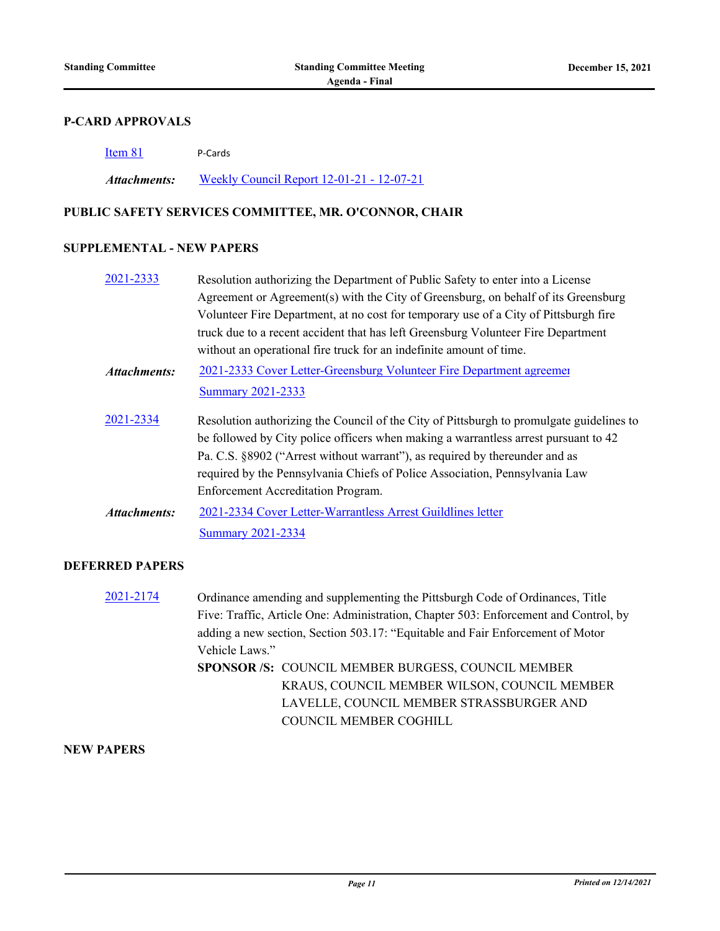### **P-CARD APPROVALS**

| Item 81      | P-Cards                                           |
|--------------|---------------------------------------------------|
| Attachments: | <u> Weekly Council Report 12-01-21 - 12-07-21</u> |

# **PUBLIC SAFETY SERVICES COMMITTEE, MR. O'CONNOR, CHAIR**

## **SUPPLEMENTAL - NEW PAPERS**

| 2021-2333           | Resolution authorizing the Department of Public Safety to enter into a License           |
|---------------------|------------------------------------------------------------------------------------------|
|                     | Agreement or Agreement(s) with the City of Greensburg, on behalf of its Greensburg       |
|                     | Volunteer Fire Department, at no cost for temporary use of a City of Pittsburgh fire     |
|                     | truck due to a recent accident that has left Greensburg Volunteer Fire Department        |
|                     | without an operational fire truck for an indefinite amount of time.                      |
| <b>Attachments:</b> | 2021-2333 Cover Letter-Greensburg Volunteer Fire Department agreemer                     |
|                     | <b>Summary 2021-2333</b>                                                                 |
| 2021-2334           | Resolution authorizing the Council of the City of Pittsburgh to promulgate guidelines to |
|                     | be followed by City police officers when making a warrantless arrest pursuant to 42      |
|                     | Pa. C.S. §8902 ("Arrest without warrant"), as required by thereunder and as              |
|                     |                                                                                          |
|                     | required by the Pennsylvania Chiefs of Police Association, Pennsylvania Law              |
|                     | Enforcement Accreditation Program.                                                       |
| <b>Attachments:</b> | 2021-2334 Cover Letter-Warrantless Arrest Guildlines letter                              |
|                     | <b>Summary 2021-2334</b>                                                                 |

# **DEFERRED PAPERS**

| 2021-2174 | Ordinance amending and supplementing the Pittsburgh Code of Ordinances, Title        |
|-----------|--------------------------------------------------------------------------------------|
|           | Five: Traffic, Article One: Administration, Chapter 503: Enforcement and Control, by |
|           | adding a new section, Section 503.17: "Equitable and Fair Enforcement of Motor       |
|           | Vehicle Laws."                                                                       |
|           | SPONSOR /S: COUNCIL MEMBER BURGESS, COUNCIL MEMBER                                   |
|           | KRAUS, COUNCIL MEMBER WILSON, COUNCIL MEMBER                                         |
|           | LAVELLE, COUNCIL MEMBER STRASSBURGER AND                                             |
|           | COUNCIL MEMBER COGHILL                                                               |
|           |                                                                                      |

## **NEW PAPERS**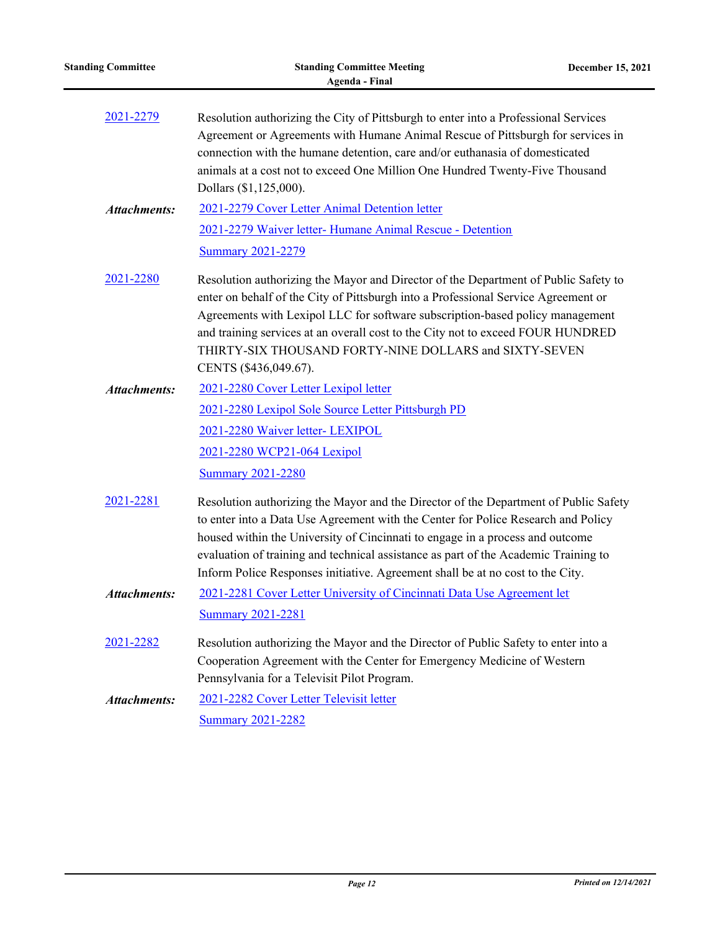| <b>Standing Committee</b> | <b>Standing Committee Meeting</b><br><b>Agenda - Final</b>                                                                                                                                                                                                                                                                                                                                                                          | December 15, 2021 |
|---------------------------|-------------------------------------------------------------------------------------------------------------------------------------------------------------------------------------------------------------------------------------------------------------------------------------------------------------------------------------------------------------------------------------------------------------------------------------|-------------------|
| 2021-2279                 | Resolution authorizing the City of Pittsburgh to enter into a Professional Services<br>Agreement or Agreements with Humane Animal Rescue of Pittsburgh for services in<br>connection with the humane detention, care and/or euthanasia of domesticated<br>animals at a cost not to exceed One Million One Hundred Twenty-Five Thousand<br>Dollars (\$1,125,000).                                                                    |                   |
| <b>Attachments:</b>       | 2021-2279 Cover Letter Animal Detention letter                                                                                                                                                                                                                                                                                                                                                                                      |                   |
|                           | 2021-2279 Waiver letter- Humane Animal Rescue - Detention                                                                                                                                                                                                                                                                                                                                                                           |                   |
|                           | <b>Summary 2021-2279</b>                                                                                                                                                                                                                                                                                                                                                                                                            |                   |
| 2021-2280                 | Resolution authorizing the Mayor and Director of the Department of Public Safety to<br>enter on behalf of the City of Pittsburgh into a Professional Service Agreement or<br>Agreements with Lexipol LLC for software subscription-based policy management<br>and training services at an overall cost to the City not to exceed FOUR HUNDRED<br>THIRTY-SIX THOUSAND FORTY-NINE DOLLARS and SIXTY-SEVEN<br>CENTS (\$436,049.67).    |                   |
| <b>Attachments:</b>       | 2021-2280 Cover Letter Lexipol letter                                                                                                                                                                                                                                                                                                                                                                                               |                   |
|                           | 2021-2280 Lexipol Sole Source Letter Pittsburgh PD                                                                                                                                                                                                                                                                                                                                                                                  |                   |
|                           | 2021-2280 Waiver letter- LEXIPOL                                                                                                                                                                                                                                                                                                                                                                                                    |                   |
|                           | 2021-2280 WCP21-064 Lexipol                                                                                                                                                                                                                                                                                                                                                                                                         |                   |
|                           | <b>Summary 2021-2280</b>                                                                                                                                                                                                                                                                                                                                                                                                            |                   |
| 2021-2281                 | Resolution authorizing the Mayor and the Director of the Department of Public Safety<br>to enter into a Data Use Agreement with the Center for Police Research and Policy<br>housed within the University of Cincinnati to engage in a process and outcome<br>evaluation of training and technical assistance as part of the Academic Training to<br>Inform Police Responses initiative. Agreement shall be at no cost to the City. |                   |
| <b>Attachments:</b>       | 2021-2281 Cover Letter University of Cincinnati Data Use Agreement let                                                                                                                                                                                                                                                                                                                                                              |                   |
|                           | <b>Summary 2021-2281</b>                                                                                                                                                                                                                                                                                                                                                                                                            |                   |
| 2021-2282                 | Resolution authorizing the Mayor and the Director of Public Safety to enter into a<br>Cooperation Agreement with the Center for Emergency Medicine of Western<br>Pennsylvania for a Televisit Pilot Program.                                                                                                                                                                                                                        |                   |
| <b>Attachments:</b>       | 2021-2282 Cover Letter Televisit letter                                                                                                                                                                                                                                                                                                                                                                                             |                   |
|                           | <b>Summary 2021-2282</b>                                                                                                                                                                                                                                                                                                                                                                                                            |                   |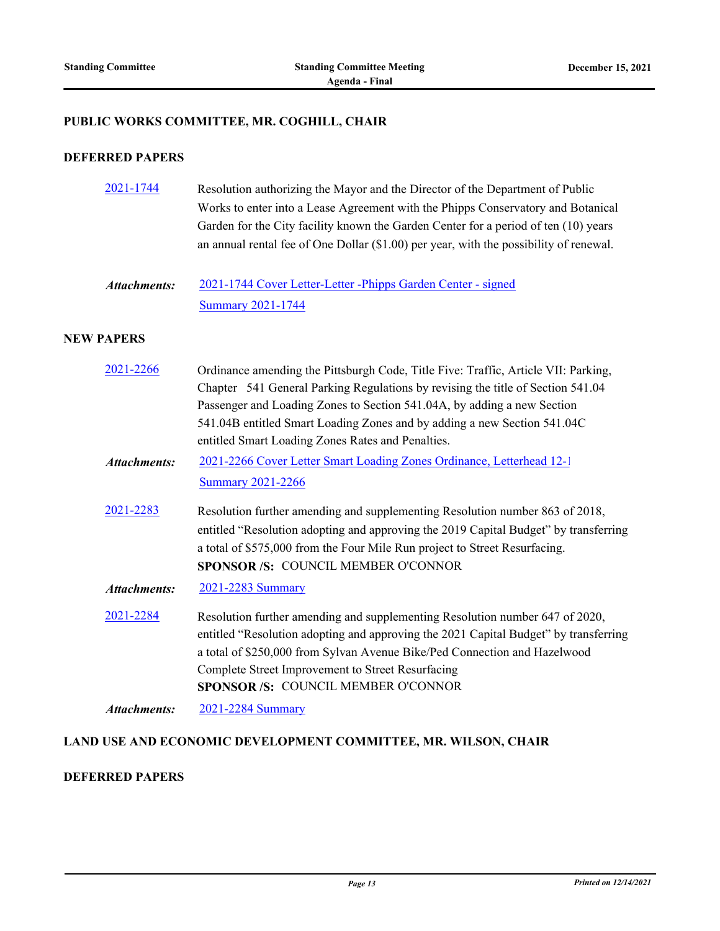## **PUBLIC WORKS COMMITTEE, MR. COGHILL, CHAIR**

### **DEFERRED PAPERS**

| 2021-1744           | Resolution authorizing the Mayor and the Director of the Department of Public<br>Works to enter into a Lease Agreement with the Phipps Conservatory and Botanical<br>Garden for the City facility known the Garden Center for a period of ten (10) years<br>an annual rental fee of One Dollar (\$1.00) per year, with the possibility of renewal.                                |
|---------------------|-----------------------------------------------------------------------------------------------------------------------------------------------------------------------------------------------------------------------------------------------------------------------------------------------------------------------------------------------------------------------------------|
| <b>Attachments:</b> | 2021-1744 Cover Letter-Letter-Phipps Garden Center - signed<br><b>Summary 2021-1744</b>                                                                                                                                                                                                                                                                                           |
| <b>NEW PAPERS</b>   |                                                                                                                                                                                                                                                                                                                                                                                   |
| 2021-2266           | Ordinance amending the Pittsburgh Code, Title Five: Traffic, Article VII: Parking,<br>Chapter 541 General Parking Regulations by revising the title of Section 541.04<br>Passenger and Loading Zones to Section 541.04A, by adding a new Section<br>541.04B entitled Smart Loading Zones and by adding a new Section 541.04C<br>entitled Smart Loading Zones Rates and Penalties. |
| <b>Attachments:</b> | 2021-2266 Cover Letter Smart Loading Zones Ordinance, Letterhead 12-1                                                                                                                                                                                                                                                                                                             |
|                     | <b>Summary 2021-2266</b>                                                                                                                                                                                                                                                                                                                                                          |
| 2021-2283           | Resolution further amending and supplementing Resolution number 863 of 2018,<br>entitled "Resolution adopting and approving the 2019 Capital Budget" by transferring<br>a total of \$575,000 from the Four Mile Run project to Street Resurfacing.<br>SPONSOR /S: COUNCIL MEMBER O'CONNOR                                                                                         |
| <b>Attachments:</b> | 2021-2283 Summary                                                                                                                                                                                                                                                                                                                                                                 |
| 2021-2284           | Resolution further amending and supplementing Resolution number 647 of 2020,<br>entitled "Resolution adopting and approving the 2021 Capital Budget" by transferring<br>a total of \$250,000 from Sylvan Avenue Bike/Ped Connection and Hazelwood<br>Complete Street Improvement to Street Resurfacing<br>SPONSOR /S: COUNCIL MEMBER O'CONNOR                                     |
| <b>Attachments:</b> | 2021-2284 Summary                                                                                                                                                                                                                                                                                                                                                                 |

## **LAND USE AND ECONOMIC DEVELOPMENT COMMITTEE, MR. WILSON, CHAIR**

## **DEFERRED PAPERS**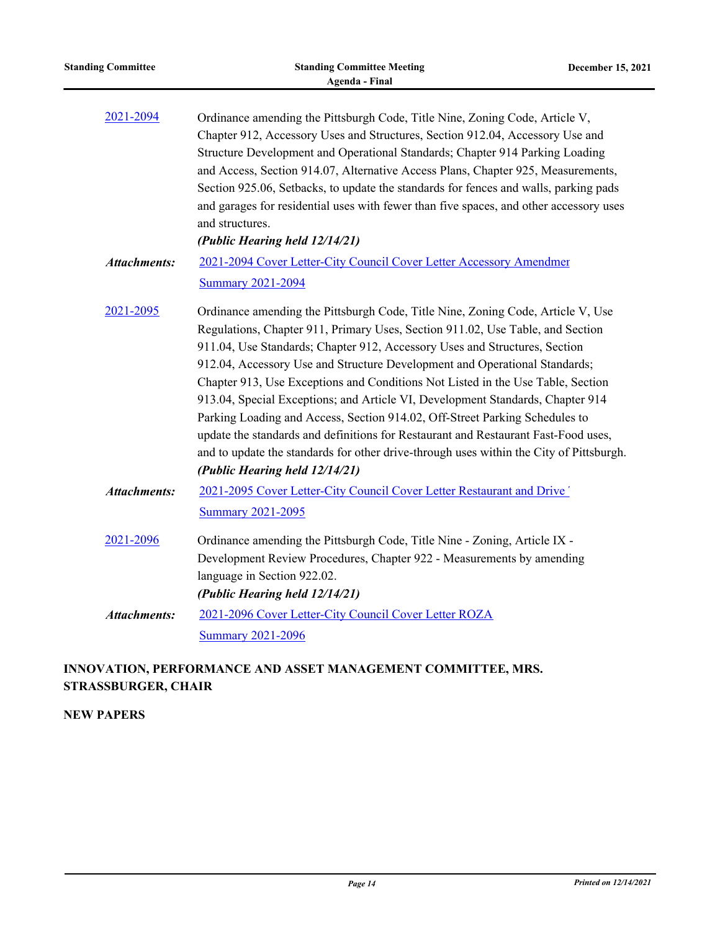| <b>Standing Committee</b> | <b>Standing Committee Meeting</b><br>Agenda - Final                                                                                                                                                                                                                                                                                                                                                                                                                                                                                                                                                                                                                                                                                                                                                  | December 15, 2021 |
|---------------------------|------------------------------------------------------------------------------------------------------------------------------------------------------------------------------------------------------------------------------------------------------------------------------------------------------------------------------------------------------------------------------------------------------------------------------------------------------------------------------------------------------------------------------------------------------------------------------------------------------------------------------------------------------------------------------------------------------------------------------------------------------------------------------------------------------|-------------------|
| 2021-2094                 | Ordinance amending the Pittsburgh Code, Title Nine, Zoning Code, Article V,<br>Chapter 912, Accessory Uses and Structures, Section 912.04, Accessory Use and<br>Structure Development and Operational Standards; Chapter 914 Parking Loading<br>and Access, Section 914.07, Alternative Access Plans, Chapter 925, Measurements,<br>Section 925.06, Setbacks, to update the standards for fences and walls, parking pads<br>and garages for residential uses with fewer than five spaces, and other accessory uses<br>and structures.<br>(Public Hearing held 12/14/21)                                                                                                                                                                                                                              |                   |
| <b>Attachments:</b>       | 2021-2094 Cover Letter-City Council Cover Letter Accessory Amendmer<br><b>Summary 2021-2094</b>                                                                                                                                                                                                                                                                                                                                                                                                                                                                                                                                                                                                                                                                                                      |                   |
| 2021-2095                 | Ordinance amending the Pittsburgh Code, Title Nine, Zoning Code, Article V, Use<br>Regulations, Chapter 911, Primary Uses, Section 911.02, Use Table, and Section<br>911.04, Use Standards; Chapter 912, Accessory Uses and Structures, Section<br>912.04, Accessory Use and Structure Development and Operational Standards;<br>Chapter 913, Use Exceptions and Conditions Not Listed in the Use Table, Section<br>913.04, Special Exceptions; and Article VI, Development Standards, Chapter 914<br>Parking Loading and Access, Section 914.02, Off-Street Parking Schedules to<br>update the standards and definitions for Restaurant and Restaurant Fast-Food uses,<br>and to update the standards for other drive-through uses within the City of Pittsburgh.<br>(Public Hearing held 12/14/21) |                   |
| <b>Attachments:</b>       | 2021-2095 Cover Letter-City Council Cover Letter Restaurant and Drive'<br><b>Summary 2021-2095</b>                                                                                                                                                                                                                                                                                                                                                                                                                                                                                                                                                                                                                                                                                                   |                   |
| 2021-2096                 | Ordinance amending the Pittsburgh Code, Title Nine - Zoning, Article IX -<br>Development Review Procedures, Chapter 922 - Measurements by amending<br>language in Section 922.02.<br>(Public Hearing held 12/14/21)                                                                                                                                                                                                                                                                                                                                                                                                                                                                                                                                                                                  |                   |
| <b>Attachments:</b>       | 2021-2096 Cover Letter-City Council Cover Letter ROZA<br><b>Summary 2021-2096</b>                                                                                                                                                                                                                                                                                                                                                                                                                                                                                                                                                                                                                                                                                                                    |                   |

# **INNOVATION, PERFORMANCE AND ASSET MANAGEMENT COMMITTEE, MRS. STRASSBURGER, CHAIR**

**NEW PAPERS**